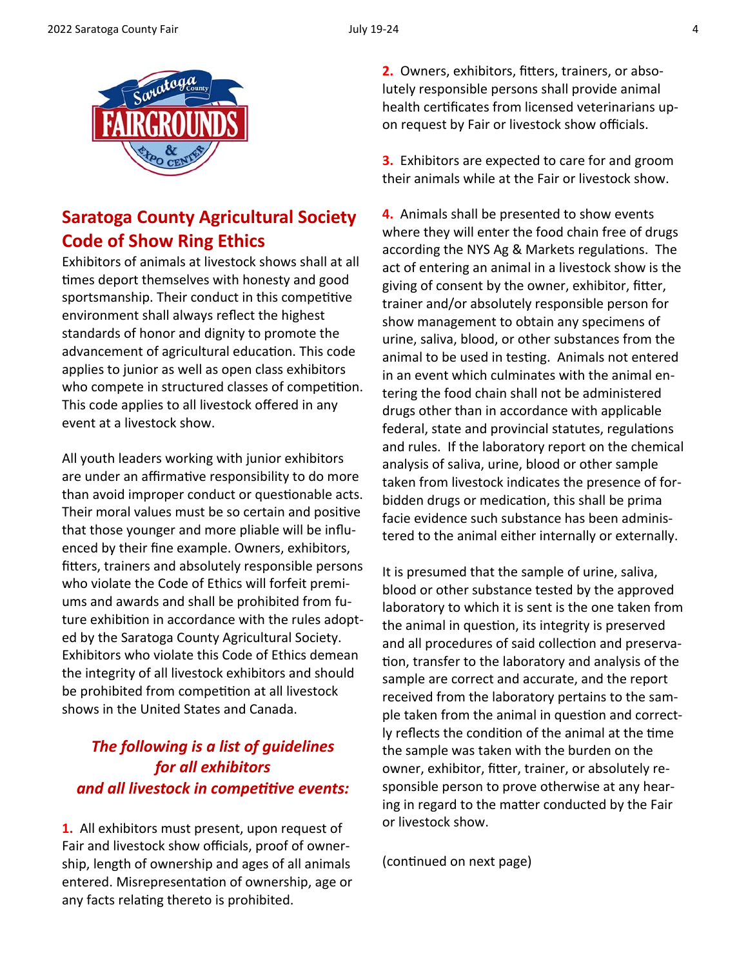

## **Saratoga County Agricultural Society Code of Show Ring Ethics**

Exhibitors of animals at livestock shows shall at all times deport themselves with honesty and good sportsmanship. Their conduct in this competitive environment shall always reflect the highest standards of honor and dignity to promote the advancement of agricultural education. This code applies to junior as well as open class exhibitors who compete in structured classes of competition. This code applies to all livestock offered in any event at a livestock show.

All youth leaders working with junior exhibitors are under an affirmative responsibility to do more than avoid improper conduct or questionable acts. Their moral values must be so certain and positive that those younger and more pliable will be influ‐ enced by their fine example. Owners, exhibitors, fitters, trainers and absolutely responsible persons who violate the Code of Ethics will forfeit premi‐ ums and awards and shall be prohibited from fu‐ ture exhibition in accordance with the rules adopted by the Saratoga County Agricultural Society. Exhibitors who violate this Code of Ethics demean the integrity of all livestock exhibitors and should be prohibited from competition at all livestock shows in the United States and Canada.

## *The following is a list of guidelines for all exhibitors and all livestock in compeƟƟve events:*

**1.** All exhibitors must present, upon request of Fair and livestock show officials, proof of owner‐ ship, length of ownership and ages of all animals entered. Misrepresentation of ownership, age or any facts relating thereto is prohibited.

**2.** Owners, exhibitors, fitters, trainers, or absolutely responsible persons shall provide animal health certificates from licensed veterinarians upon request by Fair or livestock show officials.

**3.** Exhibitors are expected to care for and groom their animals while at the Fair or livestock show.

**4.** Animals shall be presented to show events where they will enter the food chain free of drugs according the NYS Ag & Markets regulations. The act of entering an animal in a livestock show is the giving of consent by the owner, exhibitor, fitter, trainer and/or absolutely responsible person for show management to obtain any specimens of urine, saliva, blood, or other substances from the animal to be used in testing. Animals not entered in an event which culminates with the animal en‐ tering the food chain shall not be administered drugs other than in accordance with applicable federal, state and provincial statutes, regulations and rules. If the laboratory report on the chemical analysis of saliva, urine, blood or other sample taken from livestock indicates the presence of for‐ bidden drugs or medication, this shall be prima facie evidence such substance has been adminis‐ tered to the animal either internally or externally.

It is presumed that the sample of urine, saliva, blood or other substance tested by the approved laboratory to which it is sent is the one taken from the animal in question, its integrity is preserved and all procedures of said collection and preservation, transfer to the laboratory and analysis of the sample are correct and accurate, and the report received from the laboratory pertains to the sam‐ ple taken from the animal in question and correctly reflects the condition of the animal at the time the sample was taken with the burden on the owner, exhibitor, fitter, trainer, or absolutely responsible person to prove otherwise at any hear‐ ing in regard to the matter conducted by the Fair or livestock show.

(continued on next page)